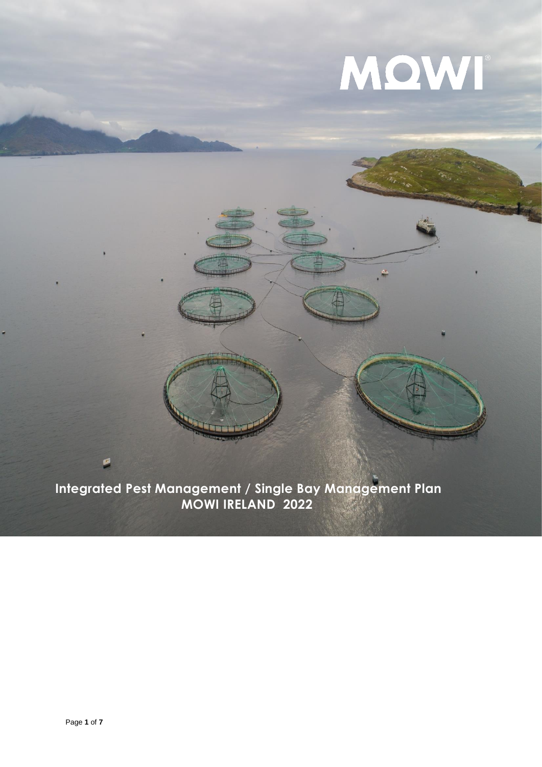# MQWI

**Integrated Pest Management / Single Bay Management Plan MOWI IRELAND 2022**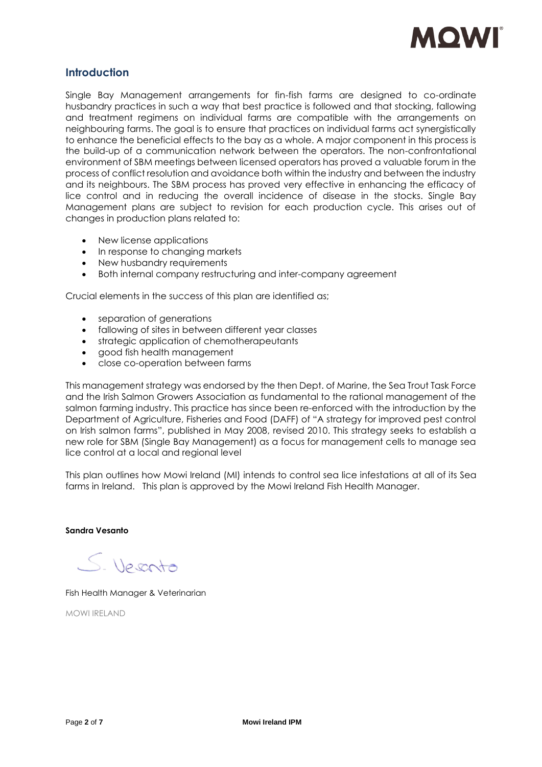

# **Introduction**

Single Bay Management arrangements for fin-fish farms are designed to co-ordinate husbandry practices in such a way that best practice is followed and that stocking, fallowing and treatment regimens on individual farms are compatible with the arrangements on neighbouring farms. The goal is to ensure that practices on individual farms act synergistically to enhance the beneficial effects to the bay as a whole. A major component in this process is the build-up of a communication network between the operators. The non-confrontational environment of SBM meetings between licensed operators has proved a valuable forum in the process of conflict resolution and avoidance both within the industry and between the industry and its neighbours. The SBM process has proved very effective in enhancing the efficacy of lice control and in reducing the overall incidence of disease in the stocks. Single Bay Management plans are subject to revision for each production cycle. This arises out of changes in production plans related to:

- New license applications
- In response to changing markets
- New husbandry requirements
- Both internal company restructuring and inter-company agreement

Crucial elements in the success of this plan are identified as;

- separation of generations
- fallowing of sites in between different year classes
- strategic application of chemotherapeutants
- good fish health management
- close co-operation between farms

This management strategy was endorsed by the then Dept. of Marine, the Sea Trout Task Force and the Irish Salmon Growers Association as fundamental to the rational management of the salmon farming industry. This practice has since been re-enforced with the introduction by the Department of Agriculture, Fisheries and Food (DAFF) of "A strategy for improved pest control on Irish salmon farms", published in May 2008, revised 2010. This strategy seeks to establish a new role for SBM (Single Bay Management) as a focus for management cells to manage sea lice control at a local and regional level

This plan outlines how Mowi Ireland (MI) intends to control sea lice infestations at all of its Sea farms in Ireland. This plan is approved by the Mowi Ireland Fish Health Manager.

**Sandra Vesanto**

S. Veranto

Fish Health Manager & Veterinarian

MOWI IRELAND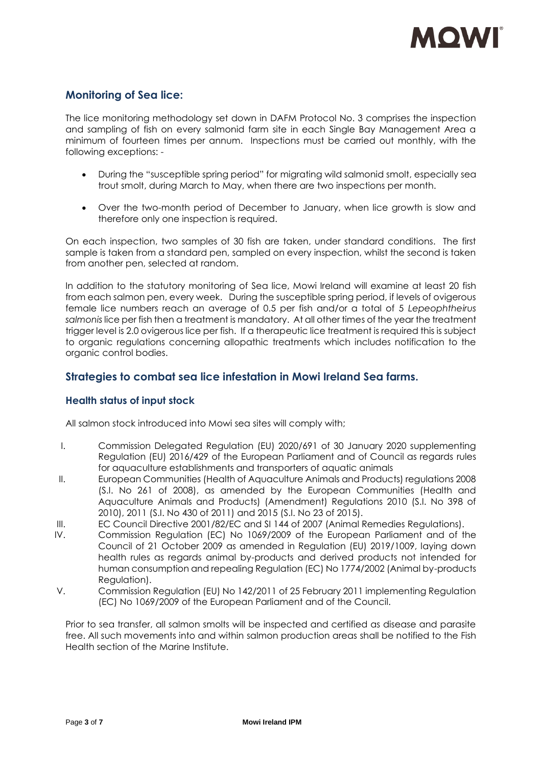

# **Monitoring of Sea lice:**

The lice monitoring methodology set down in DAFM Protocol No. 3 comprises the inspection and sampling of fish on every salmonid farm site in each Single Bay Management Area a minimum of fourteen times per annum. Inspections must be carried out monthly, with the following exceptions: -

- During the "susceptible spring period" for migrating wild salmonid smolt, especially sea trout smolt, during March to May, when there are two inspections per month.
- Over the two-month period of December to January, when lice growth is slow and therefore only one inspection is required.

On each inspection, two samples of 30 fish are taken, under standard conditions. The first sample is taken from a standard pen, sampled on every inspection, whilst the second is taken from another pen, selected at random.

In addition to the statutory monitoring of Sea lice, Mowi Ireland will examine at least 20 fish from each salmon pen, every week. During the susceptible spring period, if levels of ovigerous female lice numbers reach an average of 0.5 per fish and/or a total of 5 *Lepeophtheirus salmonis* lice per fish then a treatment is mandatory. At all other times of the year the treatment trigger level is 2.0 ovigerous lice per fish. If a therapeutic lice treatment is required this is subject to organic regulations concerning allopathic treatments which includes notification to the organic control bodies.

# **Strategies to combat sea lice infestation in Mowi Ireland Sea farms.**

# **Health status of input stock**

All salmon stock introduced into Mowi sea sites will comply with;

- I. Commission Delegated Regulation (EU) 2020/691 of 30 January 2020 supplementing Regulation (EU) 2016/429 of the European Parliament and of Council as regards rules for aquaculture establishments and transporters of aquatic animals
- II. European Communities (Health of Aquaculture Animals and Products) regulations 2008 (S.I. No 261 of 2008), as amended by the European Communities (Health and Aquaculture Animals and Products) (Amendment) Regulations 2010 (S.I. No 398 of 2010), 2011 (S.I. No 430 of 2011) and 2015 (S.I. No 23 of 2015).
- III. EC Council Directive 2001/82/EC and SI 144 of 2007 (Animal Remedies Regulations).
- IV. Commission Regulation (EC) No 1069/2009 of the European Parliament and of the Council of 21 October 2009 as amended in Regulation (EU) 2019/1009, laying down health rules as regards animal by-products and derived products not intended for human consumption and repealing Regulation (EC) No 1774/2002 (Animal by-products Regulation).
- V. Commission Regulation (EU) No 142/2011 of 25 February 2011 implementing Regulation (EC) No 1069/2009 of the European Parliament and of the Council.

Prior to sea transfer, all salmon smolts will be inspected and certified as disease and parasite free. All such movements into and within salmon production areas shall be notified to the Fish Health section of the Marine Institute.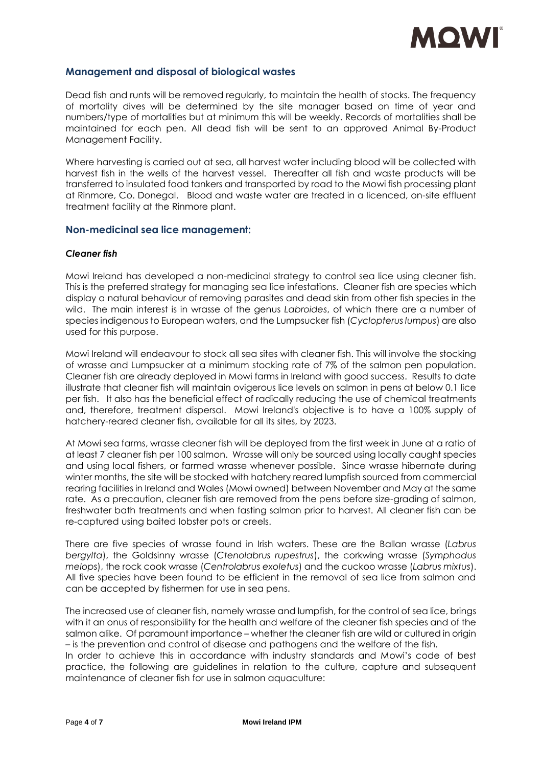

## **Management and disposal of biological wastes**

Dead fish and runts will be removed regularly, to maintain the health of stocks. The frequency of mortality dives will be determined by the site manager based on time of year and numbers/type of mortalities but at minimum this will be weekly. Records of mortalities shall be maintained for each pen. All dead fish will be sent to an approved Animal By-Product Management Facility.

Where harvesting is carried out at sea, all harvest water including blood will be collected with harvest fish in the wells of the harvest vessel. Thereafter all fish and waste products will be transferred to insulated food tankers and transported by road to the Mowi fish processing plant at Rinmore, Co. Donegal. Blood and waste water are treated in a licenced, on-site effluent treatment facility at the Rinmore plant.

#### **Non-medicinal sea lice management:**

#### *Cleaner fish*

Mowi Ireland has developed a non-medicinal strategy to control sea lice using cleaner fish. This is the preferred strategy for managing sea lice infestations. Cleaner fish are species which display a natural behaviour of removing parasites and dead skin from other fish species in the wild. The main interest is in wrasse of the genus *Labroides*, of which there are a number of species indigenous to European waters, and the Lumpsucker fish (*Cyclopterus lumpus*) are also used for this purpose.

Mowi Ireland will endeavour to stock all sea sites with cleaner fish. This will involve the stocking of wrasse and Lumpsucker at a minimum stocking rate of 7% of the salmon pen population. Cleaner fish are already deployed in Mowi farms in Ireland with good success. Results to date illustrate that cleaner fish will maintain ovigerous lice levels on salmon in pens at below 0.1 lice per fish. It also has the beneficial effect of radically reducing the use of chemical treatments and, therefore, treatment dispersal. Mowi Ireland's objective is to have a 100% supply of hatchery-reared cleaner fish, available for all its sites, by 2023.

At Mowi sea farms, wrasse cleaner fish will be deployed from the first week in June at a ratio of at least 7 cleaner fish per 100 salmon. Wrasse will only be sourced using locally caught species and using local fishers, or farmed wrasse whenever possible. Since wrasse hibernate during winter months, the site will be stocked with hatchery reared lumpfish sourced from commercial rearing facilities in Ireland and Wales (Mowi owned) between November and May at the same rate. As a precaution, cleaner fish are removed from the pens before size-grading of salmon, freshwater bath treatments and when fasting salmon prior to harvest. All cleaner fish can be re-captured using baited lobster pots or creels.

There are five species of wrasse found in Irish waters. These are the Ballan wrasse (*Labrus bergylta*), the Goldsinny wrasse (*Ctenolabrus rupestrus*), the corkwing wrasse (*Symphodus melops*), the rock cook wrasse (*Centrolabrus exoletus*) and the cuckoo wrasse (*Labrus mixtus*). All five species have been found to be efficient in the removal of sea lice from salmon and can be accepted by fishermen for use in sea pens.

The increased use of cleaner fish, namely wrasse and lumpfish, for the control of sea lice, brings with it an onus of responsibility for the health and welfare of the cleaner fish species and of the salmon alike. Of paramount importance – whether the cleaner fish are wild or cultured in origin – is the prevention and control of disease and pathogens and the welfare of the fish.

In order to achieve this in accordance with industry standards and Mowi's code of best practice, the following are guidelines in relation to the culture, capture and subsequent maintenance of cleaner fish for use in salmon aquaculture: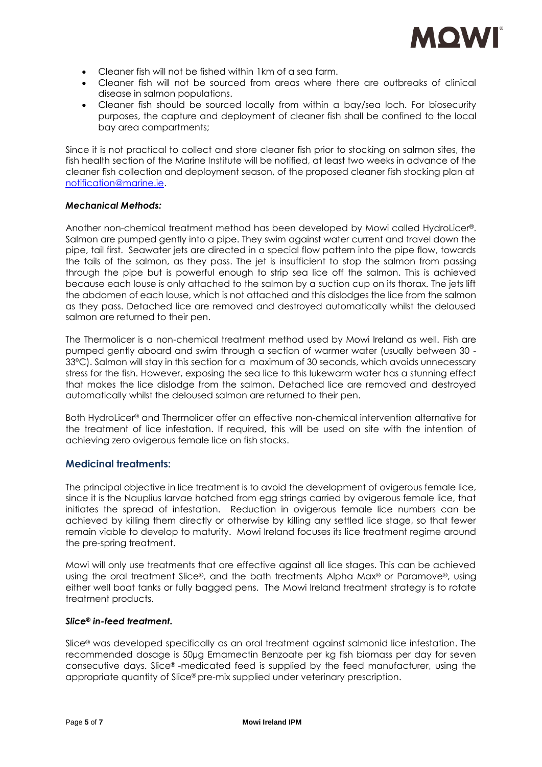

- Cleaner fish will not be fished within 1km of a sea farm.
- Cleaner fish will not be sourced from areas where there are outbreaks of clinical disease in salmon populations.
- Cleaner fish should be sourced locally from within a bay/sea loch. For biosecurity purposes, the capture and deployment of cleaner fish shall be confined to the local bay area compartments;

Since it is not practical to collect and store cleaner fish prior to stocking on salmon sites, the fish health section of the Marine Institute will be notified, at least two weeks in advance of the cleaner fish collection and deployment season, of the proposed cleaner fish stocking plan at [notification@marine.ie.](mailto:notification@marine.ie)

## *Mechanical Methods:*

Another non-chemical treatment method has been developed by Mowi called HydroLicer®. Salmon are pumped gently into a pipe. They swim against water current and travel down the pipe, tail first. Seawater jets are directed in a special flow pattern into the pipe flow, towards the tails of the salmon, as they pass. The jet is insufficient to stop the salmon from passing through the pipe but is powerful enough to strip sea lice off the salmon. This is achieved because each louse is only attached to the salmon by a suction cup on its thorax. The jets lift the abdomen of each louse, which is not attached and this dislodges the lice from the salmon as they pass. Detached lice are removed and destroyed automatically whilst the deloused salmon are returned to their pen.

The Thermolicer is a non-chemical treatment method used by Mowi Ireland as well. Fish are pumped gently aboard and swim through a section of warmer water (usually between 30 - 33ºC). Salmon will stay in this section for a maximum of 30 seconds, which avoids unnecessary stress for the fish. However, exposing the sea lice to this lukewarm water has a stunning effect that makes the lice dislodge from the salmon. Detached lice are removed and destroyed automatically whilst the deloused salmon are returned to their pen.

Both HydroLicer® and Thermolicer offer an effective non-chemical intervention alternative for the treatment of lice infestation. If required, this will be used on site with the intention of achieving zero ovigerous female lice on fish stocks.

## **Medicinal treatments:**

The principal objective in lice treatment is to avoid the development of ovigerous female lice, since it is the Nauplius larvae hatched from egg strings carried by ovigerous female lice, that initiates the spread of infestation. Reduction in ovigerous female lice numbers can be achieved by killing them directly or otherwise by killing any settled lice stage, so that fewer remain viable to develop to maturity. Mowi Ireland focuses its lice treatment regime around the pre-spring treatment.

Mowi will only use treatments that are effective against all lice stages. This can be achieved using the oral treatment Slice®, and the bath treatments Alpha Max® or Paramove®, using either well boat tanks or fully bagged pens. The Mowi Ireland treatment strategy is to rotate treatment products.

## *Slice® in-feed treatment.*

Slice® was developed specifically as an oral treatment against salmonid lice infestation. The recommended dosage is 50µg Emamectin Benzoate per kg fish biomass per day for seven consecutive days. Slice® -medicated feed is supplied by the feed manufacturer, using the appropriate quantity of Slice® pre-mix supplied under veterinary prescription.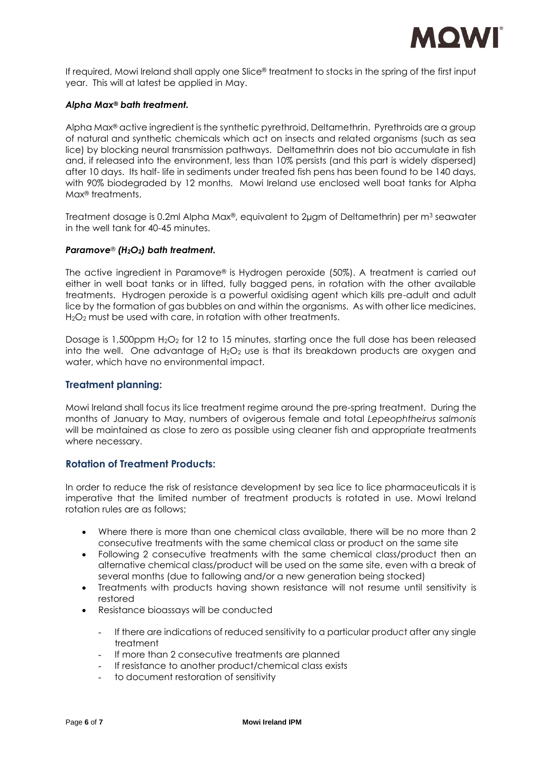

If required, Mowi Ireland shall apply one Slice® treatment to stocks in the spring of the first input year. This will at latest be applied in May.

#### *Alpha Max® bath treatment.*

Alpha Max® active ingredient is the synthetic pyrethroid, Deltamethrin. Pyrethroids are a group of natural and synthetic chemicals which act on insects and related organisms (such as sea lice) by blocking neural transmission pathways. Deltamethrin does not bio accumulate in fish and, if released into the environment, less than 10% persists (and this part is widely dispersed) after 10 days. Its half- life in sediments under treated fish pens has been found to be 140 days, with 90% biodegraded by 12 months. Mowi Ireland use enclosed well boat tanks for Alpha Max® treatments.

Treatment dosage is 0.2ml Alpha Max®, equivalent to 2 $\mu$ gm of Deltamethrin) per m<sup>3</sup> seawater in the well tank for 40-45 minutes.

#### *Paramove® (H2O2) bath treatment.*

The active ingredient in Paramove® is Hydrogen peroxide (50%). A treatment is carried out either in well boat tanks or in lifted, fully bagged pens, in rotation with the other available treatments. Hydrogen peroxide is a powerful oxidising agent which kills pre-adult and adult lice by the formation of gas bubbles on and within the organisms. As with other lice medicines, H<sub>2</sub>O<sub>2</sub> must be used with care, in rotation with other treatments.

Dosage is 1,500ppm H<sub>2</sub>O<sub>2</sub> for 12 to 15 minutes, starting once the full dose has been released into the well. One advantage of  $H_2O_2$  use is that its breakdown products are oxygen and water, which have no environmental impact.

#### **Treatment planning:**

Mowi Ireland shall focus its lice treatment regime around the pre-spring treatment. During the months of January to May, numbers of ovigerous female and total *Lepeophtheirus salmonis* will be maintained as close to zero as possible using cleaner fish and appropriate treatments where necessary.

## **Rotation of Treatment Products:**

In order to reduce the risk of resistance development by sea lice to lice pharmaceuticals it is imperative that the limited number of treatment products is rotated in use. Mowi Ireland rotation rules are as follows;

- Where there is more than one chemical class available, there will be no more than 2 consecutive treatments with the same chemical class or product on the same site
- Following 2 consecutive treatments with the same chemical class/product then an alternative chemical class/product will be used on the same site, even with a break of several months (due to fallowing and/or a new generation being stocked)
- Treatments with products having shown resistance will not resume until sensitivity is restored
- Resistance bioassays will be conducted
	- If there are indications of reduced sensitivity to a particular product after any single treatment
	- If more than 2 consecutive treatments are planned
	- If resistance to another product/chemical class exists
	- to document restoration of sensitivity